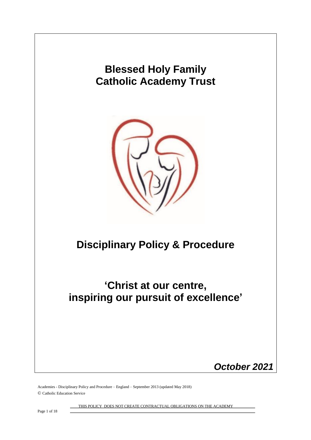

Academies - Disciplinary Policy and Procedure – England – September 2013 (updated May 2018) © Catholic Education Service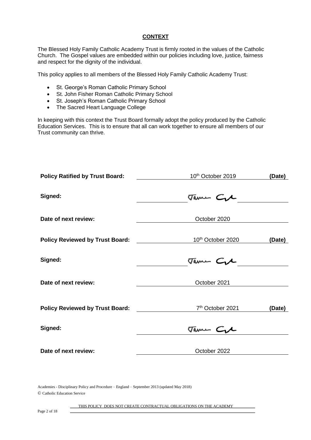### **CONTEXT**

The Blessed Holy Family Catholic Academy Trust is firmly rooted in the values of the Catholic Church. The Gospel values are embedded within our policies including love, justice, fairness and respect for the dignity of the individual.

This policy applies to all members of the Blessed Holy Family Catholic Academy Trust:

- St. George's Roman Catholic Primary School
- St. John Fisher Roman Catholic Primary School
- St. Joseph's Roman Catholic Primary School
- The Sacred Heart Language College

In keeping with this context the Trust Board formally adopt the policy produced by the Catholic Education Services. This is to ensure that all can work together to ensure all members of our Trust community can thrive.

| <b>Policy Ratified by Trust Board:</b> | 10 <sup>th</sup> October 2019                                                                                                                           | (Date) |
|----------------------------------------|---------------------------------------------------------------------------------------------------------------------------------------------------------|--------|
|                                        |                                                                                                                                                         |        |
| Signed:                                | Tame Cre                                                                                                                                                |        |
| Date of next review:                   | October 2020                                                                                                                                            |        |
|                                        |                                                                                                                                                         |        |
| <b>Policy Reviewed by Trust Board:</b> | 10 <sup>th</sup> October 2020                                                                                                                           | (Date) |
| Signed:                                | Tame Cre                                                                                                                                                |        |
| Date of next review:                   | October 2021                                                                                                                                            |        |
|                                        |                                                                                                                                                         |        |
| <b>Policy Reviewed by Trust Board:</b> | 7 <sup>th</sup> October 2021<br><u> The Communication of the Communication of the Communication of the Communication of the Communication of the Co</u> | (Date) |
| Signed:                                | Tame Cre                                                                                                                                                |        |
| Date of next review:                   | October 2022                                                                                                                                            |        |
|                                        |                                                                                                                                                         |        |
|                                        |                                                                                                                                                         |        |

Academies - Disciplinary Policy and Procedure – England – September 2013 (updated May 2018) © Catholic Education Service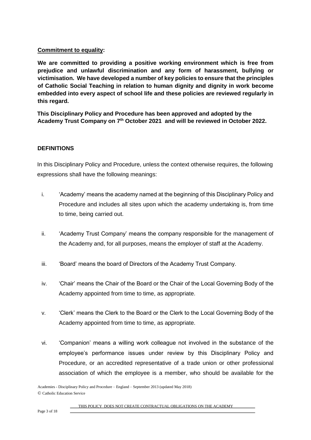## **Commitment to equality:**

**We are committed to providing a positive working environment which is free from prejudice and unlawful discrimination and any form of harassment, bullying or victimisation. We have developed a number of key policies to ensure that the principles of Catholic Social Teaching in relation to human dignity and dignity in work become embedded into every aspect of school life and these policies are reviewed regularly in this regard.**

**This Disciplinary Policy and Procedure has been approved and adopted by the Academy Trust Company on 7th October 2021 and will be reviewed in October 2022.** 

# **DEFINITIONS**

In this Disciplinary Policy and Procedure, unless the context otherwise requires, the following expressions shall have the following meanings:

- i. 'Academy' means the academy named at the beginning of this Disciplinary Policy and Procedure and includes all sites upon which the academy undertaking is, from time to time, being carried out.
- ii. 'Academy Trust Company' means the company responsible for the management of the Academy and, for all purposes, means the employer of staff at the Academy.
- iii. 'Board' means the board of Directors of the Academy Trust Company.
- iv. 'Chair' means the Chair of the Board or the Chair of the Local Governing Body of the Academy appointed from time to time, as appropriate.
- v. 'Clerk' means the Clerk to the Board or the Clerk to the Local Governing Body of the Academy appointed from time to time, as appropriate.
- vi. 'Companion' means a willing work colleague not involved in the substance of the employee's performance issues under review by this Disciplinary Policy and Procedure, or an accredited representative of a trade union or other professional association of which the employee is a member, who should be available for the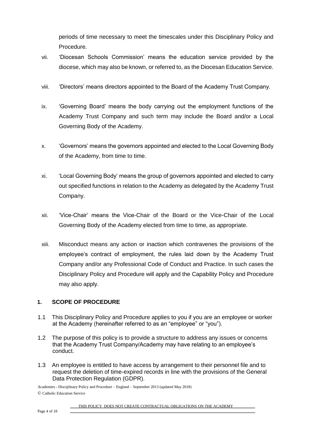periods of time necessary to meet the timescales under this Disciplinary Policy and Procedure.

- vii. 'Diocesan Schools Commission' means the education service provided by the diocese, which may also be known, or referred to, as the Diocesan Education Service.
- viii. 'Directors' means directors appointed to the Board of the Academy Trust Company.
- ix. 'Governing Board' means the body carrying out the employment functions of the Academy Trust Company and such term may include the Board and/or a Local Governing Body of the Academy.
- x. 'Governors' means the governors appointed and elected to the Local Governing Body of the Academy, from time to time.
- xi. 'Local Governing Body' means the group of governors appointed and elected to carry out specified functions in relation to the Academy as delegated by the Academy Trust Company.
- xii. 'Vice-Chair' means the Vice-Chair of the Board or the Vice-Chair of the Local Governing Body of the Academy elected from time to time, as appropriate.
- xiii. Misconduct means any action or inaction which contravenes the provisions of the employee's contract of employment, the rules laid down by the Academy Trust Company and/or any Professional Code of Conduct and Practice. In such cases the Disciplinary Policy and Procedure will apply and the Capability Policy and Procedure may also apply.

# **1. SCOPE OF PROCEDURE**

- 1.1 This Disciplinary Policy and Procedure applies to you if you are an employee or worker at the Academy (hereinafter referred to as an "employee" or "you").
- 1.2 The purpose of this policy is to provide a structure to address any issues or concerns that the Academy Trust Company/Academy may have relating to an employee's conduct.
- 1.3 An employee is entitled to have access by arrangement to their personnel file and to request the deletion of time-expired records in line with the provisions of the General Data Protection Regulation (GDPR).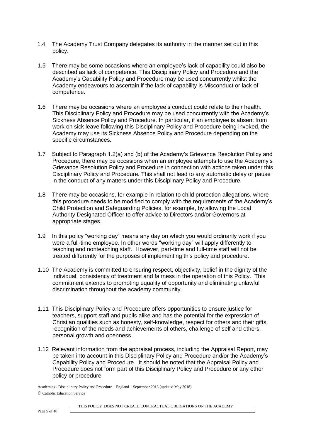- 1.4 The Academy Trust Company delegates its authority in the manner set out in this policy.
- 1.5 There may be some occasions where an employee's lack of capability could also be described as lack of competence. This Disciplinary Policy and Procedure and the Academy's Capability Policy and Procedure may be used concurrently whilst the Academy endeavours to ascertain if the lack of capability is Misconduct or lack of competence.
- 1.6 There may be occasions where an employee's conduct could relate to their health. This Disciplinary Policy and Procedure may be used concurrently with the Academy's Sickness Absence Policy and Procedure. In particular, if an employee is absent from work on sick leave following this Disciplinary Policy and Procedure being invoked, the Academy may use its Sickness Absence Policy and Procedure depending on the specific circumstances.
- 1.7 Subject to Paragraph 1.2(a) and (b) of the Academy's Grievance Resolution Policy and Procedure, there may be occasions when an employee attempts to use the Academy's Grievance Resolution Policy and Procedure in connection with actions taken under this Disciplinary Policy and Procedure. This shall not lead to any automatic delay or pause in the conduct of any matters under this Disciplinary Policy and Procedure.
- 1.8 There may be occasions, for example in relation to child protection allegations, where this procedure needs to be modified to comply with the requirements of the Academy's Child Protection and Safeguarding Policies, for example, by allowing the Local Authority Designated Officer to offer advice to Directors and/or Governors at appropriate stages.
- 1.9 In this policy "working day" means any day on which you would ordinarily work if you were a full-time employee. In other words "working day" will apply differently to teaching and nonteaching staff. However, part-time and full-time staff will not be treated differently for the purposes of implementing this policy and procedure.
- 1.10 The Academy is committed to ensuring respect, objectivity, belief in the dignity of the individual, consistency of treatment and fairness in the operation of this Policy. This commitment extends to promoting equality of opportunity and eliminating unlawful discrimination throughout the academy community.
- 1.11 This Disciplinary Policy and Procedure offers opportunities to ensure justice for teachers, support staff and pupils alike and has the potential for the expression of Christian qualities such as honesty, self-knowledge, respect for others and their gifts, recognition of the needs and achievements of others, challenge of self and others, personal growth and openness.
- 1.12 Relevant information from the appraisal process, including the Appraisal Report, may be taken into account in this Disciplinary Policy and Procedure and/or the Academy's Capability Policy and Procedure. It should be noted that the Appraisal Policy and Procedure does not form part of this Disciplinary Policy and Procedure or any other policy or procedure.

Academies - Disciplinary Policy and Procedure – England – September 2013 (updated May 2018) © Catholic Education Service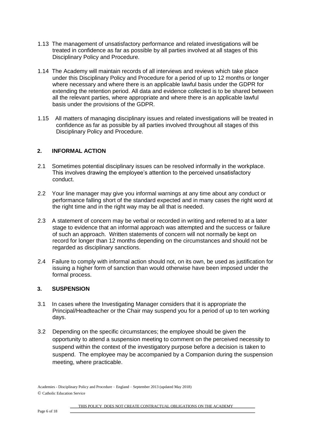- 1.13 The management of unsatisfactory performance and related investigations will be treated in confidence as far as possible by all parties involved at all stages of this Disciplinary Policy and Procedure.
- 1.14 The Academy will maintain records of all interviews and reviews which take place under this Disciplinary Policy and Procedure for a period of up to 12 months or longer where necessary and where there is an applicable lawful basis under the GDPR for extending the retention period. All data and evidence collected is to be shared between all the relevant parties, where appropriate and where there is an applicable lawful basis under the provisions of the GDPR.
- 1.15 All matters of managing disciplinary issues and related investigations will be treated in confidence as far as possible by all parties involved throughout all stages of this Disciplinary Policy and Procedure.

## **2. INFORMAL ACTION**

- 2.1 Sometimes potential disciplinary issues can be resolved informally in the workplace. This involves drawing the employee's attention to the perceived unsatisfactory conduct.
- 2.2 Your line manager may give you informal warnings at any time about any conduct or performance falling short of the standard expected and in many cases the right word at the right time and in the right way may be all that is needed.
- 2.3 A statement of concern may be verbal or recorded in writing and referred to at a later stage to evidence that an informal approach was attempted and the success or failure of such an approach. Written statements of concern will not normally be kept on record for longer than 12 months depending on the circumstances and should not be regarded as disciplinary sanctions.
- 2.4 Failure to comply with informal action should not, on its own, be used as justification for issuing a higher form of sanction than would otherwise have been imposed under the formal process.

## **3. SUSPENSION**

- 3.1 In cases where the Investigating Manager considers that it is appropriate the Principal/Headteacher or the Chair may suspend you for a period of up to ten working days.
- 3.2 Depending on the specific circumstances; the employee should be given the opportunity to attend a suspension meeting to comment on the perceived necessity to suspend within the context of the investigatory purpose before a decision is taken to suspend. The employee may be accompanied by a Companion during the suspension meeting, where practicable.

Academies - Disciplinary Policy and Procedure – England – September 2013 (updated May 2018) © Catholic Education Service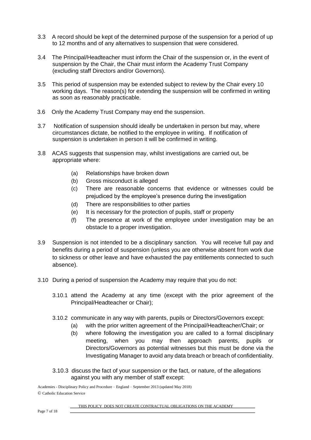- 3.3 A record should be kept of the determined purpose of the suspension for a period of up to 12 months and of any alternatives to suspension that were considered.
- 3.4 The Principal/Headteacher must inform the Chair of the suspension or, in the event of suspension by the Chair, the Chair must inform the Academy Trust Company (excluding staff Directors and/or Governors).
- 3.5 This period of suspension may be extended subject to review by the Chair every 10 working days. The reason(s) for extending the suspension will be confirmed in writing as soon as reasonably practicable.
- 3.6 Only the Academy Trust Company may end the suspension.
- 3.7 Notification of suspension should ideally be undertaken in person but may, where circumstances dictate, be notified to the employee in writing. If notification of suspension is undertaken in person it will be confirmed in writing.
- 3.8 ACAS suggests that suspension may, whilst investigations are carried out, be appropriate where:
	- (a) Relationships have broken down
	- (b) Gross misconduct is alleged
	- (c) There are reasonable concerns that evidence or witnesses could be prejudiced by the employee's presence during the investigation
	- (d) There are responsibilities to other parties
	- (e) It is necessary for the protection of pupils, staff or property
	- (f) The presence at work of the employee under investigation may be an obstacle to a proper investigation.
- 3.9 Suspension is not intended to be a disciplinary sanction. You will receive full pay and benefits during a period of suspension (unless you are otherwise absent from work due to sickness or other leave and have exhausted the pay entitlements connected to such absence).
- 3.10 During a period of suspension the Academy may require that you do not:
	- 3.10.1 attend the Academy at any time (except with the prior agreement of the Principal/Headteacher or Chair);
	- 3.10.2 communicate in any way with parents, pupils or Directors/Governors except:
		- (a) with the prior written agreement of the Principal/Headteacher/Chair; or
		- (b) where following the investigation you are called to a formal disciplinary meeting, when you may then approach parents, pupils or Directors/Governors as potential witnesses but this must be done via the Investigating Manager to avoid any data breach or breach of confidentiality.
	- 3.10.3 discuss the fact of your suspension or the fact, or nature, of the allegations against you with any member of staff except: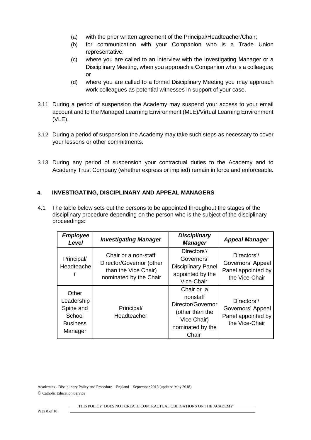- (a) with the prior written agreement of the Principal/Headteacher/Chair;
- (b) for communication with your Companion who is a Trade Union representative;
- (c) where you are called to an interview with the Investigating Manager or a Disciplinary Meeting, when you approach a Companion who is a colleague; or
- (d) where you are called to a formal Disciplinary Meeting you may approach work colleagues as potential witnesses in support of your case.
- 3.11 During a period of suspension the Academy may suspend your access to your email account and to the Managed Learning Environment (MLE)/Virtual Learning Environment (VLE).
- 3.12 During a period of suspension the Academy may take such steps as necessary to cover your lessons or other commitments.
- 3.13 During any period of suspension your contractual duties to the Academy and to Academy Trust Company (whether express or implied) remain in force and enforceable.

# **4. INVESTIGATING, DISCIPLINARY AND APPEAL MANAGERS**

4.1 The table below sets out the persons to be appointed throughout the stages of the disciplinary procedure depending on the person who is the subject of the disciplinary proceedings:

| <b>Employee</b><br>Level                                                 | <b>Investigating Manager</b>                                                                       | <b>Disciplinary</b><br><b>Manager</b>                                                                      | <b>Appeal Manager</b>                                                    |
|--------------------------------------------------------------------------|----------------------------------------------------------------------------------------------------|------------------------------------------------------------------------------------------------------------|--------------------------------------------------------------------------|
| Principal/<br>Headteache                                                 | Chair or a non-staff<br>Director/Governor (other<br>than the Vice Chair)<br>nominated by the Chair | Directors'/<br>Governors'<br><b>Disciplinary Panel</b><br>appointed by the<br>Vice-Chair                   | Directors'/<br>Governors' Appeal<br>Panel appointed by<br>the Vice-Chair |
| Other<br>Leadership<br>Spine and<br>School<br><b>Business</b><br>Manager | Principal/<br>Headteacher                                                                          | Chair or a<br>nonstaff<br>Director/Governor<br>(other than the<br>Vice Chair)<br>nominated by the<br>Chair | Directors'/<br>Governors' Appeal<br>Panel appointed by<br>the Vice-Chair |

Academies - Disciplinary Policy and Procedure – England – September 2013 (updated May 2018) © Catholic Education Service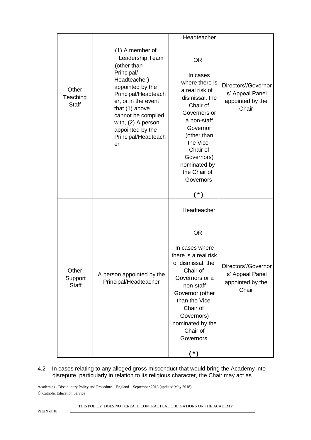|                                   |                                                                                                                                                                                                                                                                  | Headteacher                                                                                                                                                                                                                                    |                                                                     |
|-----------------------------------|------------------------------------------------------------------------------------------------------------------------------------------------------------------------------------------------------------------------------------------------------------------|------------------------------------------------------------------------------------------------------------------------------------------------------------------------------------------------------------------------------------------------|---------------------------------------------------------------------|
| Other<br>Teaching<br><b>Staff</b> | (1) A member of<br>Leadership Team<br>(other than<br>Principal/<br>Headteacher)<br>appointed by the<br>Principal/Headteach<br>er, or in the event<br>that (1) above<br>cannot be complied<br>with, (2) A person<br>appointed by the<br>Principal/Headteach<br>er | <b>OR</b><br>In cases<br>where there is<br>a real risk of<br>dismissal, the<br>Chair of<br>Governors or<br>a non-staff<br>Governor<br>(other than<br>the Vice-<br>Chair of<br>Governors)                                                       | Directors'/Governor<br>s' Appeal Panel<br>appointed by the<br>Chair |
|                                   |                                                                                                                                                                                                                                                                  | nominated by<br>the Chair of<br>Governors<br>$(*)$                                                                                                                                                                                             |                                                                     |
| Other<br>Support<br><b>Staff</b>  | A person appointed by the<br>Principal/Headteacher                                                                                                                                                                                                               | Headteacher<br><b>OR</b><br>In cases where<br>there is a real risk<br>of dismissal, the<br>Chair of<br>Governors or a<br>non-staff<br>Governor (other<br>than the Vice-<br>Chair of<br>Governors)<br>nominated by the<br>Chair of<br>Governors | Directors'/Governor<br>s' Appeal Panel<br>appointed by the<br>Chair |

## 4.2 In cases relating to any alleged gross misconduct that would bring the Academy into disrepute, particularly in relation to its religious character, the Chair may act as

Academies - Disciplinary Policy and Procedure – England – September 2013 (updated May 2018) © Catholic Education Service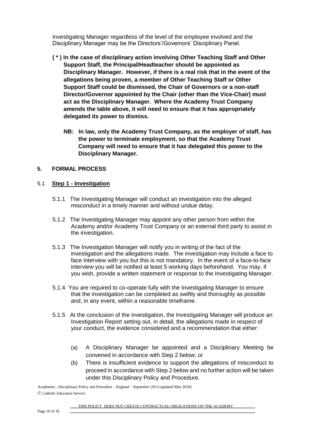Investigating Manager regardless of the level of the employee involved and the Disciplinary Manager may be the Directors'/Governors' Disciplinary Panel.

- **( \* ) In the case of disciplinary action involving Other Teaching Staff and Other Support Staff, the Principal/Headteacher should be appointed as Disciplinary Manager. However, if there is a real risk that in the event of the allegations being proven, a member of Other Teaching Staff or Other Support Staff could be dismissed, the Chair of Governors or a non-staff Director/Governor appointed by the Chair (other than the Vice-Chair) must act as the Disciplinary Manager. Where the Academy Trust Company amends the table above, it will need to ensure that it has appropriately delegated its power to dismiss.** 
	- **NB: In law, only the Academy Trust Company, as the employer of staff, has the power to terminate employment, so that the Academy Trust Company will need to ensure that it has delegated this power to the Disciplinary Manager.**

#### **5. FORMAL PROCESS**

#### 5.1 **Step 1 - Investigation**

- 5.1.1 The Investigating Manager will conduct an investigation into the alleged misconduct in a timely manner and without undue delay.
- 5.1.2 The Investigating Manager may appoint any other person from within the Academy and/or Academy Trust Company or an external third party to assist in the investigation.
- 5.1.3 The Investigation Manager will notify you in writing of the fact of the investigation and the allegations made. The investigation may include a face to face interview with you but this is not mandatory. In the event of a face-to-face interview you will be notified at least 5 working days beforehand. You may, if you wish, provide a written statement or response to the Investigating Manager.
- 5.1.4 You are required to co-operate fully with the Investigating Manager to ensure that the investigation can be completed as swiftly and thoroughly as possible and, in any event, within a reasonable timeframe.
- 5.1.5 At the conclusion of the investigation, the Investigating Manager will produce an Investigation Report setting out, in detail, the allegations made in respect of your conduct, the evidence considered and a recommendation that either:
	- (a) A Disciplinary Manager be appointed and a Disciplinary Meeting be convened in accordance with Step 2 below; or
	- (b) There is insufficient evidence to support the allegations of misconduct to proceed in accordance with Step 2 below and no further action will be taken under this Disciplinary Policy and Procedure.

Academies - Disciplinary Policy and Procedure – England – September 2013 (updated May 2018) © Catholic Education Service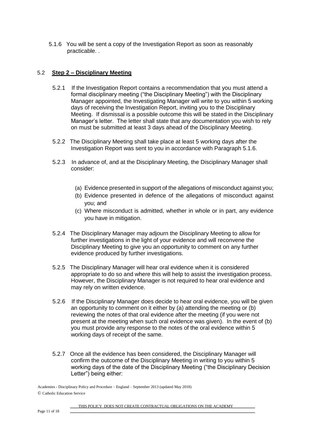5.1.6 You will be sent a copy of the Investigation Report as soon as reasonably practicable. .

### 5.2 **Step 2 – Disciplinary Meeting**

- 5.2.1 If the Investigation Report contains a recommendation that you must attend a formal disciplinary meeting ("the Disciplinary Meeting") with the Disciplinary Manager appointed, the Investigating Manager will write to you within 5 working days of receiving the Investigation Report, inviting you to the Disciplinary Meeting. If dismissal is a possible outcome this will be stated in the Disciplinary Manager's letter. The letter shall state that any documentation you wish to rely on must be submitted at least 3 days ahead of the Disciplinary Meeting.
- 5.2.2 The Disciplinary Meeting shall take place at least 5 working days after the Investigation Report was sent to you in accordance with Paragraph 5.1.6.
- 5.2.3 In advance of, and at the Disciplinary Meeting, the Disciplinary Manager shall consider:
	- (a) Evidence presented in support of the allegations of misconduct against you;
	- (b) Evidence presented in defence of the allegations of misconduct against you; and
	- (c) Where misconduct is admitted, whether in whole or in part, any evidence you have in mitigation.
- 5.2.4 The Disciplinary Manager may adjourn the Disciplinary Meeting to allow for further investigations in the light of your evidence and will reconvene the Disciplinary Meeting to give you an opportunity to comment on any further evidence produced by further investigations.
- 5.2.5 The Disciplinary Manager will hear oral evidence when it is considered appropriate to do so and where this will help to assist the investigation process. However, the Disciplinary Manager is not required to hear oral evidence and may rely on written evidence.
- 5.2.6 If the Disciplinary Manager does decide to hear oral evidence, you will be given an opportunity to comment on it either by (a) attending the meeting or (b) reviewing the notes of that oral evidence after the meeting (if you were not present at the meeting when such oral evidence was given). In the event of (b) you must provide any response to the notes of the oral evidence within 5 working days of receipt of the same.
- 5.2.7 Once all the evidence has been considered, the Disciplinary Manager will confirm the outcome of the Disciplinary Meeting in writing to you within 5 working days of the date of the Disciplinary Meeting ("the Disciplinary Decision Letter") being either:

Academies - Disciplinary Policy and Procedure – England – September 2013 (updated May 2018) © Catholic Education Service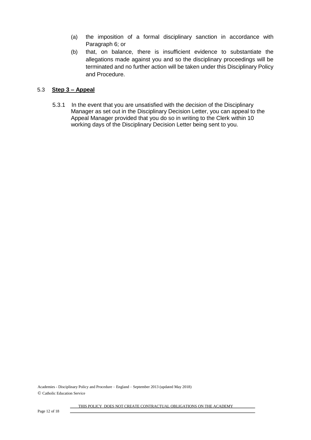- (a) the imposition of a formal disciplinary sanction in accordance with Paragraph 6; or
- (b) that, on balance, there is insufficient evidence to substantiate the allegations made against you and so the disciplinary proceedings will be terminated and no further action will be taken under this Disciplinary Policy and Procedure.

### 5.3 **Step 3 – Appeal**

5.3.1 In the event that you are unsatisfied with the decision of the Disciplinary Manager as set out in the Disciplinary Decision Letter, you can appeal to the Appeal Manager provided that you do so in writing to the Clerk within 10 working days of the Disciplinary Decision Letter being sent to you.

Academies - Disciplinary Policy and Procedure – England – September 2013 (updated May 2018) © Catholic Education Service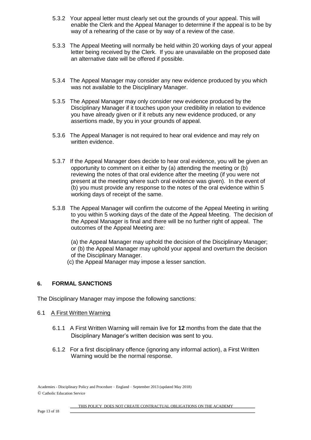- 5.3.2 Your appeal letter must clearly set out the grounds of your appeal. This will enable the Clerk and the Appeal Manager to determine if the appeal is to be by way of a rehearing of the case or by way of a review of the case.
- 5.3.3 The Appeal Meeting will normally be held within 20 working days of your appeal letter being received by the Clerk. If you are unavailable on the proposed date an alternative date will be offered if possible.
- 5.3.4 The Appeal Manager may consider any new evidence produced by you which was not available to the Disciplinary Manager.
- 5.3.5 The Appeal Manager may only consider new evidence produced by the Disciplinary Manager if it touches upon your credibility in relation to evidence you have already given or if it rebuts any new evidence produced, or any assertions made, by you in your grounds of appeal.
- 5.3.6 The Appeal Manager is not required to hear oral evidence and may rely on written evidence.
- 5.3.7 If the Appeal Manager does decide to hear oral evidence, you will be given an opportunity to comment on it either by (a) attending the meeting or (b) reviewing the notes of that oral evidence after the meeting (if you were not present at the meeting where such oral evidence was given). In the event of (b) you must provide any response to the notes of the oral evidence within 5 working days of receipt of the same.
- 5.3.8 The Appeal Manager will confirm the outcome of the Appeal Meeting in writing to you within 5 working days of the date of the Appeal Meeting. The decision of the Appeal Manager is final and there will be no further right of appeal. The outcomes of the Appeal Meeting are:

(a) the Appeal Manager may uphold the decision of the Disciplinary Manager; or (b) the Appeal Manager may uphold your appeal and overturn the decision of the Disciplinary Manager.

(c) the Appeal Manager may impose a lesser sanction.

## **6. FORMAL SANCTIONS**

The Disciplinary Manager may impose the following sanctions:

#### 6.1 A First Written Warning

- 6.1.1 A First Written Warning will remain live for **12** months from the date that the Disciplinary Manager's written decision was sent to you.
- 6.1.2 For a first disciplinary offence (ignoring any informal action), a First Written Warning would be the normal response.

Academies - Disciplinary Policy and Procedure – England – September 2013 (updated May 2018) © Catholic Education Service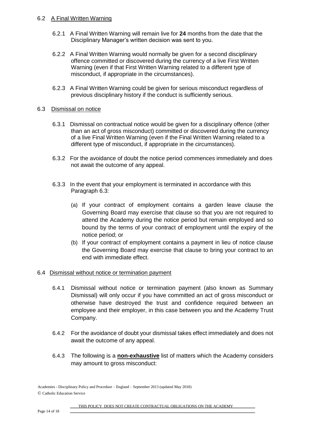### 6.2 A Final Written Warning

- 6.2.1 A Final Written Warning will remain live for **24** months from the date that the Disciplinary Manager's written decision was sent to you.
- 6.2.2 A Final Written Warning would normally be given for a second disciplinary offence committed or discovered during the currency of a live First Written Warning (even if that First Written Warning related to a different type of misconduct, if appropriate in the circumstances).
- 6.2.3 A Final Written Warning could be given for serious misconduct regardless of previous disciplinary history if the conduct is sufficiently serious.

### 6.3 Dismissal on notice

- 6.3.1 Dismissal on contractual notice would be given for a disciplinary offence (other than an act of gross misconduct) committed or discovered during the currency of a live Final Written Warning (even if the Final Written Warning related to a different type of misconduct, if appropriate in the circumstances).
- 6.3.2 For the avoidance of doubt the notice period commences immediately and does not await the outcome of any appeal.
- 6.3.3 In the event that your employment is terminated in accordance with this Paragraph 6.3:
	- (a) If your contract of employment contains a garden leave clause the Governing Board may exercise that clause so that you are not required to attend the Academy during the notice period but remain employed and so bound by the terms of your contract of employment until the expiry of the notice period; or
	- (b) If your contract of employment contains a payment in lieu of notice clause the Governing Board may exercise that clause to bring your contract to an end with immediate effect.

## 6.4 Dismissal without notice or termination payment

- 6.4.1 Dismissal without notice or termination payment (also known as Summary Dismissal) will only occur if you have committed an act of gross misconduct or otherwise have destroyed the trust and confidence required between an employee and their employer, in this case between you and the Academy Trust Company.
- 6.4.2 For the avoidance of doubt your dismissal takes effect immediately and does not await the outcome of any appeal.
- 6.4.3 The following is a **non-exhaustive** list of matters which the Academy considers may amount to gross misconduct:

Academies - Disciplinary Policy and Procedure – England – September 2013 (updated May 2018) © Catholic Education Service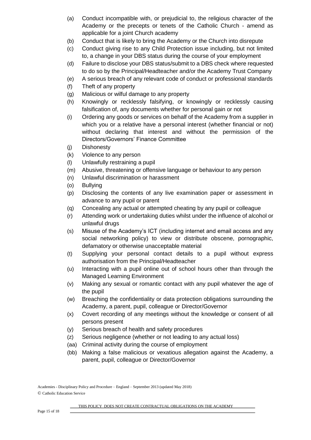- (a) Conduct incompatible with, or prejudicial to, the religious character of the Academy or the precepts or tenets of the Catholic Church - amend as applicable for a joint Church academy
- (b) Conduct that is likely to bring the Academy or the Church into disrepute
- (c) Conduct giving rise to any Child Protection issue including, but not limited to, a change in your DBS status during the course of your employment
- (d) Failure to disclose your DBS status/submit to a DBS check where requested to do so by the Principal/Headteacher and/or the Academy Trust Company
- (e) A serious breach of any relevant code of conduct or professional standards
- (f) Theft of any property
- (g) Malicious or wilful damage to any property
- (h) Knowingly or recklessly falsifying, or knowingly or recklessly causing falsification of, any documents whether for personal gain or not
- (i) Ordering any goods or services on behalf of the Academy from a supplier in which you or a relative have a personal interest (whether financial or not) without declaring that interest and without the permission of the Directors/Governors' Finance Committee
- (j) Dishonesty
- (k) Violence to any person
- (l) Unlawfully restraining a pupil
- (m) Abusive, threatening or offensive language or behaviour to any person
- (n) Unlawful discrimination or harassment
- (o) Bullying
- (p) Disclosing the contents of any live examination paper or assessment in advance to any pupil or parent
- (q) Concealing any actual or attempted cheating by any pupil or colleague
- (r) Attending work or undertaking duties whilst under the influence of alcohol or unlawful drugs
- (s) Misuse of the Academy's ICT (including internet and email access and any social networking policy) to view or distribute obscene, pornographic, defamatory or otherwise unacceptable material
- (t) Supplying your personal contact details to a pupil without express authorisation from the Principal/Headteacher
- (u) Interacting with a pupil online out of school hours other than through the Managed Learning Environment
- (v) Making any sexual or romantic contact with any pupil whatever the age of the pupil
- (w) Breaching the confidentiality or data protection obligations surrounding the Academy, a parent, pupil, colleague or Director/Governor
- (x) Covert recording of any meetings without the knowledge or consent of all persons present
- (y) Serious breach of health and safety procedures
- (z) Serious negligence (whether or not leading to any actual loss)
- (aa) Criminal activity during the course of employment
- (bb) Making a false malicious or vexatious allegation against the Academy, a parent, pupil, colleague or Director/Governor

Academies - Disciplinary Policy and Procedure – England – September 2013 (updated May 2018) © Catholic Education Service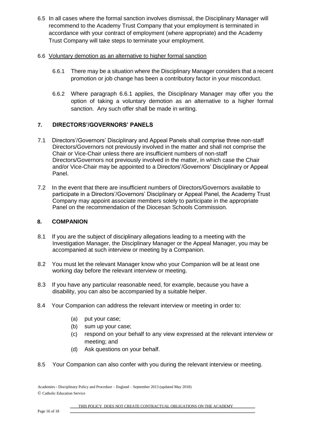6.5 In all cases where the formal sanction involves dismissal, the Disciplinary Manager will recommend to the Academy Trust Company that your employment is terminated in accordance with your contract of employment (where appropriate) and the Academy Trust Company will take steps to terminate your employment.

## 6.6 Voluntary demotion as an alternative to higher formal sanction

- 6.6.1 There may be a situation where the Disciplinary Manager considers that a recent promotion or job change has been a contributory factor in your misconduct.
- 6.6.2 Where paragraph 6.6.1 applies, the Disciplinary Manager may offer you the option of taking a voluntary demotion as an alternative to a higher formal sanction. Any such offer shall be made in writing.

# **7. DIRECTORS'/GOVERNORS' PANELS**

- 7.1 Directors'/Governors' Disciplinary and Appeal Panels shall comprise three non-staff Directors/Governors not previously involved in the matter and shall not comprise the Chair or Vice-Chair unless there are insufficient numbers of non-staff Directors/Governors not previously involved in the matter, in which case the Chair and/or Vice-Chair may be appointed to a Directors'/Governors' Disciplinary or Appeal Panel.
- 7.2 In the event that there are insufficient numbers of Directors/Governors available to participate in a Directors'/Governors' Disciplinary or Appeal Panel, the Academy Trust Company may appoint associate members solely to participate in the appropriate Panel on the recommendation of the Diocesan Schools Commission.

## **8. COMPANION**

- 8.1 If you are the subject of disciplinary allegations leading to a meeting with the Investigation Manager, the Disciplinary Manager or the Appeal Manager, you may be accompanied at such interview or meeting by a Companion.
- 8.2 You must let the relevant Manager know who your Companion will be at least one working day before the relevant interview or meeting.
- 8.3 If you have any particular reasonable need, for example, because you have a disability, you can also be accompanied by a suitable helper.
- 8.4 Your Companion can address the relevant interview or meeting in order to:
	- (a) put your case;
	- (b) sum up your case;
	- (c) respond on your behalf to any view expressed at the relevant interview or meeting; and
	- (d) Ask questions on your behalf.
- 8.5 Your Companion can also confer with you during the relevant interview or meeting.

Academies - Disciplinary Policy and Procedure – England – September 2013 (updated May 2018) © Catholic Education Service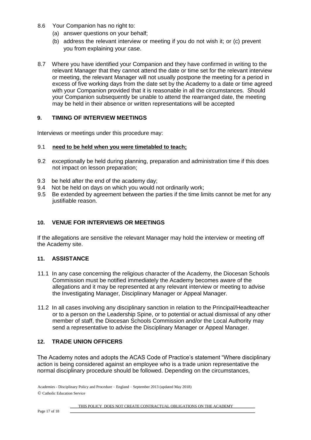- 8.6 Your Companion has no right to:
	- (a) answer questions on your behalf;
	- (b) address the relevant interview or meeting if you do not wish it; or (c) prevent you from explaining your case.
- 8.7 Where you have identified your Companion and they have confirmed in writing to the relevant Manager that they cannot attend the date or time set for the relevant interview or meeting, the relevant Manager will not usually postpone the meeting for a period in excess of five working days from the date set by the Academy to a date or time agreed with your Companion provided that it is reasonable in all the circumstances. Should your Companion subsequently be unable to attend the rearranged date, the meeting may be held in their absence or written representations will be accepted

## **9. TIMING OF INTERVIEW MEETINGS**

Interviews or meetings under this procedure may:

#### 9.1 **need to be held when you were timetabled to teach;**

- 9.2 exceptionally be held during planning, preparation and administration time if this does not impact on lesson preparation;
- 9.3 be held after the end of the academy day;
- 9.4 Not be held on days on which you would not ordinarily work;
- 9.5 Be extended by agreement between the parties if the time limits cannot be met for any justifiable reason.

## **10. VENUE FOR INTERVIEWS OR MEETINGS**

If the allegations are sensitive the relevant Manager may hold the interview or meeting off the Academy site.

## **11. ASSISTANCE**

- 11.1 In any case concerning the religious character of the Academy, the Diocesan Schools Commission must be notified immediately the Academy becomes aware of the allegations and it may be represented at any relevant interview or meeting to advise the Investigating Manager, Disciplinary Manager or Appeal Manager.
- 11.2 In all cases involving any disciplinary sanction in relation to the Principal/Headteacher or to a person on the Leadership Spine, or to potential or actual dismissal of any other member of staff, the Diocesan Schools Commission and/or the Local Authority may send a representative to advise the Disciplinary Manager or Appeal Manager.

## **12. TRADE UNION OFFICERS**

The Academy notes and adopts the ACAS Code of Practice's statement "Where disciplinary action is being considered against an employee who is a trade union representative the normal disciplinary procedure should be followed. Depending on the circumstances,

Academies - Disciplinary Policy and Procedure – England – September 2013 (updated May 2018) © Catholic Education Service